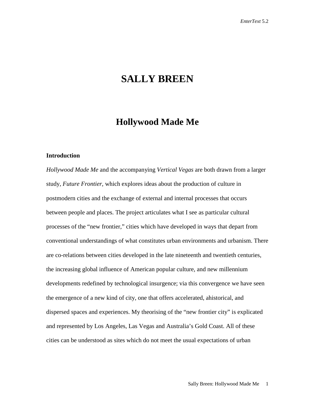# **SALLY BREEN**

## **Hollywood Made Me**

## **Introduction**

*Hollywood Made Me* and the accompanying *Vertical Vegas* are both drawn from a larger study, *Future Frontier,* which explores ideas about the production of culture in postmodern cities and the exchange of external and internal processes that occurs between people and places. The project articulates what I see as particular cultural processes of the "new frontier," cities which have developed in ways that depart from conventional understandings of what constitutes urban environments and urbanism. There are co-relations between cities developed in the late nineteenth and twentieth centuries, the increasing global influence of American popular culture, and new millennium developments redefined by technological insurgence; via this convergence we have seen the emergence of a new kind of city, one that offers accelerated, ahistorical, and dispersed spaces and experiences. My theorising of the "new frontier city" is explicated and represented by Los Angeles, Las Vegas and Australia's Gold Coast. All of these cities can be understood as sites which do not meet the usual expectations of urban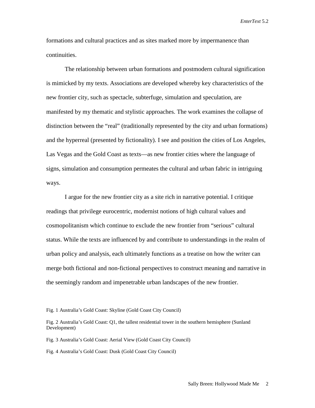formations and cultural practices and as sites marked more by impermanence than continuities.

The relationship between urban formations and postmodern cultural signification is mimicked by my texts. Associations are developed whereby key characteristics of the new frontier city, such as spectacle, subterfuge, simulation and speculation, are manifested by my thematic and stylistic approaches. The work examines the collapse of distinction between the "real" (traditionally represented by the city and urban formations) and the hyperreal (presented by fictionality). I see and position the cities of Los Angeles, Las Vegas and the Gold Coast as texts—as new frontier cities where the language of signs, simulation and consumption permeates the cultural and urban fabric in intriguing ways.

I argue for the new frontier city as a site rich in narrative potential. I critique readings that privilege eurocentric, modernist notions of high cultural values and cosmopolitanism which continue to exclude the new frontier from "serious" cultural status. While the texts are influenced by and contribute to understandings in the realm of urban policy and analysis, each ultimately functions as a treatise on how the writer can merge both fictional and non-fictional perspectives to construct meaning and narrative in the seemingly random and impenetrable urban landscapes of the new frontier.

Fig. 1 Australia's Gold Coast: Skyline (Gold Coast City Council)

Fig. 3 Australia's Gold Coast: Aerial View (Gold Coast City Council)

Fig. 4 Australia's Gold Coast: Dusk (Gold Coast City Council)

Fig. 2 Australia's Gold Coast: Q1, the tallest residential tower in the southern hemisphere (Sunland Development)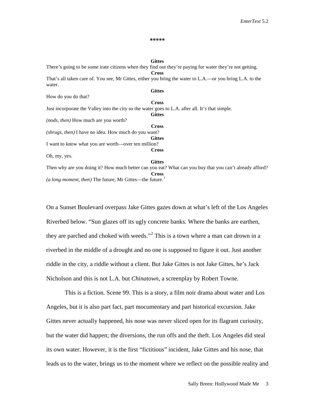#### **\*\*\*\*\***

**Gittes** There's going to be some irate citizens when they find out they're paying for water they're not getting. **Cross** That's all taken care of. You see, Mr Gittes, either you bring the water to L.A.—or you bring L.A. to the water. **Gittes** How do you do that? **Cross** Just incorporate the Valley into the city so the water goes to L.A. after all. It's that simple. **Gittes** *(nods, then)* How much are you worth? **Cross** *(shrugs, then)* I have no idea. How much do you want? **Gittes** I want to know what you are worth—over ten million? **Cross** Oh, my, yes. **Gittes** Then why are you doing it? How much better can you eat? What can you buy that you can't already afford? **Cross** *(a long moment, then)* The future, Mr Gittes—the future.<sup>[1](#page-22-0)</sup>

On a Sunset Boulevard overpass Jake Gittes gazes down at what's left of the Los Angeles Riverbed below. "Sun glazes off its ugly concrete banks. Where the banks are earthen, they are parched and choked with weeds."<sup>[2](#page-22-1)</sup> This is a town where a man can drown in a riverbed in the middle of a drought and no one is supposed to figure it out. Just another riddle in the city, a riddle without a client. But Jake Gittes is not Jake Gittes, he's Jack Nicholson and this is not L.A. but *Chinatown*, a screenplay by Robert Towne.

This is a fiction. Scene 99. This is a story, a film noir drama about water and Los Angeles, but it is also part fact, part mocumentary and part historical excursion. Jake Gittes never actually happened, his nose was never sliced open for its flagrant curiosity, but the water did happen; the diversions, the run offs and the theft. Los Angeles did steal its own water. However, it is the first "fictitious" incident, Jake Gittes and his nose, that leads us to the water, brings us to the moment where we reflect on the possible reality and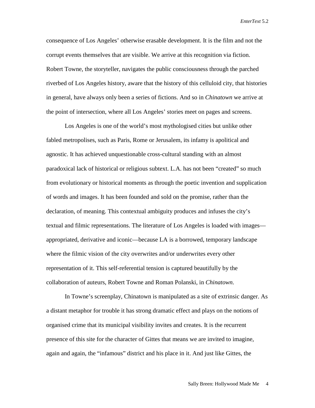consequence of Los Angeles' otherwise erasable development. It is the film and not the corrupt events themselves that are visible. We arrive at this recognition via fiction. Robert Towne, the storyteller, navigates the public consciousness through the parched riverbed of Los Angeles history, aware that the history of this celluloid city, that histories in general, have always only been a series of fictions. And so in *Chinatown* we arrive at the point of intersection, where all Los Angeles' stories meet on pages and screens.

Los Angeles is one of the world's most mythologised cities but unlike other fabled metropolises, such as Paris, Rome or Jerusalem, its infamy is apolitical and agnostic. It has achieved unquestionable cross-cultural standing with an almost paradoxical lack of historical or religious subtext. L.A. has not been "created" so much from evolutionary or historical moments as through the poetic invention and supplication of words and images. It has been founded and sold on the promise, rather than the declaration, of meaning. This contextual ambiguity produces and infuses the city's textual and filmic representations. The literature of Los Angeles is loaded with images appropriated, derivative and iconic—because LA is a borrowed, temporary landscape where the filmic vision of the city overwrites and/or underwrites every other representation of it. This self-referential tension is captured beautifully by the collaboration of auteurs, Robert Towne and Roman Polanski, in *Chinatown*.

In Towne's screenplay, Chinatown is manipulated as a site of extrinsic danger. As a distant metaphor for trouble it has strong dramatic effect and plays on the notions of organised crime that its municipal visibility invites and creates. It is the recurrent presence of this site for the character of Gittes that means we are invited to imagine, again and again, the "infamous" district and his place in it. And just like Gittes, the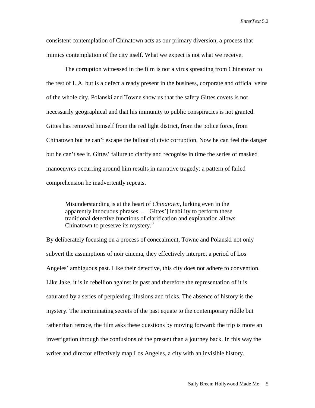consistent contemplation of Chinatown acts as our primary diversion, a process that mimics contemplation of the city itself. What we expect is not what we receive.

The corruption witnessed in the film is not a virus spreading from Chinatown to the rest of L.A. but is a defect already present in the business, corporate and official veins of the whole city. Polanski and Towne show us that the safety Gittes covets is not necessarily geographical and that his immunity to public conspiracies is not granted. Gittes has removed himself from the red light district, from the police force, from Chinatown but he can't escape the fallout of civic corruption. Now he can feel the danger but he can't see it. Gittes' failure to clarify and recognise in time the series of masked manoeuvres occurring around him results in narrative tragedy: a pattern of failed comprehension he inadvertently repeats.

Misunderstanding is at the heart of *Chinatown*, lurking even in the apparently innocuous phrases…. [Gittes'] inability to perform these traditional detective functions of clarification and explanation allows Chinatown to preserve its mystery.<sup>[3](#page-22-2)</sup>

By deliberately focusing on a process of concealment, Towne and Polanski not only subvert the assumptions of noir cinema, they effectively interpret a period of Los Angeles' ambiguous past. Like their detective, this city does not adhere to convention. Like Jake, it is in rebellion against its past and therefore the representation of it is saturated by a series of perplexing illusions and tricks. The absence of history is the mystery. The incriminating secrets of the past equate to the contemporary riddle but rather than retrace, the film asks these questions by moving forward: the trip is more an investigation through the confusions of the present than a journey back. In this way the writer and director effectively map Los Angeles, a city with an invisible history.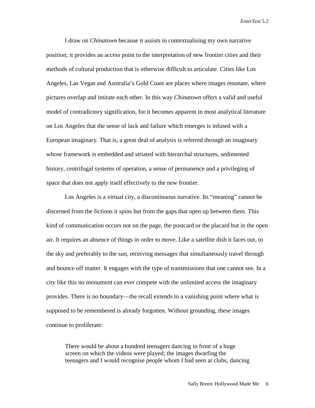I draw on *Chinatown* because it assists in contextualising my own narrative position; it provides an access point to the interpretation of new frontier cities and their methods of cultural production that is otherwise difficult to articulate. Cities like Los Angeles, Las Vegas and Australia's Gold Coast are places where images resonate, where pictures overlap and imitate each other. In this way *Chinatown* offers a valid and useful model of contradictory signification, for it becomes apparent in most analytical literature on Los Angeles that the sense of lack and failure which emerges is infused with a European imaginary. That is, a great deal of analysis is referred through an imaginary whose framework is embedded and striated with hierarchal structures, sedimented history, centrifugal systems of operation, a sense of permanence and a privileging of space that does not apply itself effectively to the new frontier.

Los Angeles is a virtual city, a discontinuous narrative. Its "meaning" cannot be discerned from the fictions it spins but from the gaps that open up between them. This kind of communication occurs not on the page, the postcard or the placard but in the open air. It requires an absence of things in order to move. Like a satellite dish it faces out, to the sky and preferably to the sun, receiving messages that simultaneously travel through and bounce off matter. It engages with the type of transmissions that one cannot see. In a city like this no monument can ever compete with the unlimited access the imaginary provides. There is no boundary—the recall extends to a vanishing point where what is supposed to be remembered is already forgotten. Without grounding, these images continue to proliferate:

There would be about a hundred teenagers dancing in front of a huge screen on which the videos were played; the images dwarfing the teenagers and I would recognise people whom I had seen at clubs, dancing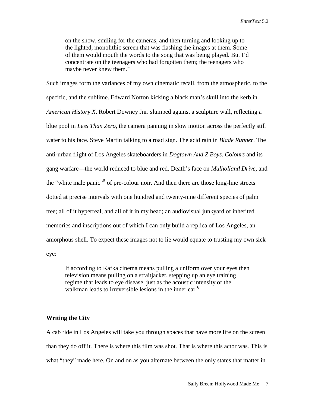on the show, smiling for the cameras, and then turning and looking up to the lighted, monolithic screen that was flashing the images at them. Some of them would mouth the words to the song that was being played. But I'd concentrate on the teenagers who had forgotten them; the teenagers who maybe never knew them.<sup>[4](#page-22-3)</sup>

Such images form the variances of my own cinematic recall, from the atmospheric, to the specific, and the sublime. Edward Norton kicking a black man's skull into the kerb in *American History X*. Robert Downey Jnr. slumped against a sculpture wall, reflecting a blue pool in *Less Than Zero*, the camera panning in slow motion across the perfectly still water to his face. Steve Martin talking to a road sign. The acid rain in *Blade Runner*. The anti-urban flight of Los Angeles skateboarders in *Dogtown And Z Boys. Colours* and its gang warfare—the world reduced to blue and red. Death's face on *Mulholland Drive,* and the "white male panic"<sup>[5](#page-22-4)</sup> of pre-colour noir. And then there are those long-line streets dotted at precise intervals with one hundred and twenty-nine different species of palm tree; all of it hyperreal, and all of it in my head; an audiovisual junkyard of inherited memories and inscriptions out of which I can only build a replica of Los Angeles, an amorphous shell. To expect these images not to lie would equate to trusting my own sick eye:

If according to Kafka cinema means pulling a uniform over your eyes then television means pulling on a straitjacket, stepping up an eye training regime that leads to eye disease, just as the acoustic intensity of the walkman leads to irreversible lesions in the inner ear.<sup>[6](#page-22-5)</sup>

## **Writing the City**

A cab ride in Los Angeles will take you through spaces that have more life on the screen than they do off it. There is where this film was shot. That is where this actor was. This is what "they" made here. On and on as you alternate between the only states that matter in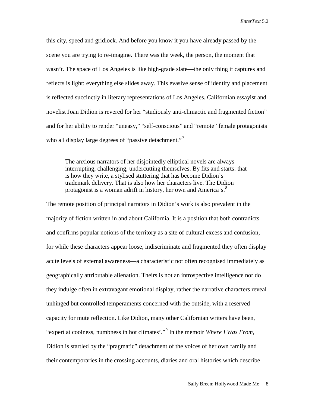this city, speed and gridlock. And before you know it you have already passed by the scene you are trying to re-imagine. There was the week, the person, the moment that wasn't. The space of Los Angeles is like high-grade slate—the only thing it captures and reflects is light; everything else slides away. This evasive sense of identity and placement is reflected succinctly in literary representations of Los Angeles. Californian essayist and novelist Joan Didion is revered for her "studiously anti-climactic and fragmented fiction" and for her ability to render "uneasy," "self-conscious" and "remote" female protagonists who all display large degrees of "passive detachment."

The anxious narrators of her disjointedly elliptical novels are always interrupting, challenging, undercutting themselves. By fits and starts: that is how they write, a stylised stuttering that has become Didion's trademark delivery. That is also how her characters live. The Didion protagonist is a woman adrift in history, her own and America's.<sup>[8](#page-22-7)</sup>

The remote position of principal narrators in Didion's work is also prevalent in the majority of fiction written in and about California. It is a position that both contradicts and confirms popular notions of the territory as a site of cultural excess and confusion, for while these characters appear loose, indiscriminate and fragmented they often display acute levels of external awareness—a characteristic not often recognised immediately as geographically attributable alienation. Theirs is not an introspective intelligence nor do they indulge often in extravagant emotional display, rather the narrative characters reveal unhinged but controlled temperaments concerned with the outside, with a reserved capacity for mute reflection. Like Didion, many other Californian writers have been, "expert at coolness, numbness in hot climates'."[9](#page-22-8) In the memoir *Where I Was From,* Didion is startled by the "pragmatic" detachment of the voices of her own family and their contemporaries in the crossing accounts, diaries and oral histories which describe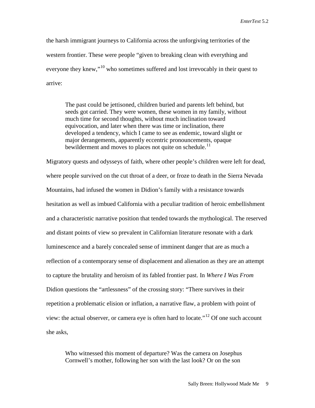the harsh immigrant journeys to California across the unforgiving territories of the western frontier. These were people "given to breaking clean with everything and everyone they knew,"<sup>[10](#page-22-9)</sup> who sometimes suffered and lost irrevocably in their quest to arrive:

The past could be jettisoned, children buried and parents left behind, but seeds got carried. They were women, these women in my family, without much time for second thoughts, without much inclination toward equivocation, and later when there was time or inclination, there developed a tendency, which I came to see as endemic, toward slight or major derangements, apparently eccentric pronouncements, opaque bewilderment and moves to places not quite on schedule.<sup>[11](#page-22-10)</sup>

Migratory quests and odysseys of faith, where other people's children were left for dead, where people survived on the cut throat of a deer, or froze to death in the Sierra Nevada Mountains, had infused the women in Didion's family with a resistance towards hesitation as well as imbued California with a peculiar tradition of heroic embellishment and a characteristic narrative position that tended towards the mythological. The reserved and distant points of view so prevalent in Californian literature resonate with a dark luminescence and a barely concealed sense of imminent danger that are as much a reflection of a contemporary sense of displacement and alienation as they are an attempt to capture the brutality and heroism of its fabled frontier past. In *Where I Was From* Didion questions the "artlessness" of the crossing story: "There survives in their repetition a problematic elision or inflation, a narrative flaw, a problem with point of view: the actual observer, or camera eve is often hard to locate."<sup>[12](#page-22-11)</sup> Of one such account she asks,

Who witnessed this moment of departure? Was the camera on Josephus Cornwell's mother, following her son with the last look? Or on the son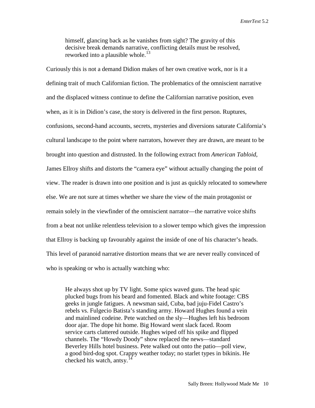himself, glancing back as he vanishes from sight? The gravity of this decisive break demands narrative, conflicting details must be resolved, reworked into a plausible whole.<sup>[13](#page-22-12)</sup>

Curiously this is not a demand Didion makes of her own creative work, nor is it a defining trait of much Californian fiction. The problematics of the omniscient narrative and the displaced witness continue to define the Californian narrative position, even when, as it is in Didion's case, the story is delivered in the first person. Ruptures, confusions, second-hand accounts, secrets, mysteries and diversions saturate California's cultural landscape to the point where narrators, however they are drawn, are meant to be brought into question and distrusted. In the following extract from *American Tabloid*, James Ellroy shifts and distorts the "camera eye" without actually changing the point of view. The reader is drawn into one position and is just as quickly relocated to somewhere else. We are not sure at times whether we share the view of the main protagonist or remain solely in the viewfinder of the omniscient narrator—the narrative voice shifts from a beat not unlike relentless television to a slower tempo which gives the impression that Ellroy is backing up favourably against the inside of one of his character's heads. This level of paranoid narrative distortion means that we are never really convinced of who is speaking or who is actually watching who:

He always shot up by TV light. Some spics waved guns. The head spic plucked bugs from his beard and fomented. Black and white footage: CBS geeks in jungle fatigues. A newsman said, Cuba, bad juju-Fidel Castro's rebels vs. Fulgecio Batista's standing army. Howard Hughes found a vein and mainlined codeine. Pete watched on the sly—Hughes left his bedroom door ajar. The dope hit home. Big Howard went slack faced. Room service carts clattered outside. Hughes wiped off his spike and flipped channels. The "Howdy Doody" show replaced the news—standard Beverley Hills hotel business. Pete walked out onto the patio—poll view, a good bird-dog spot. Crappy weather today; no starlet types in bikinis. He checked his watch, antsv.<sup>1</sup>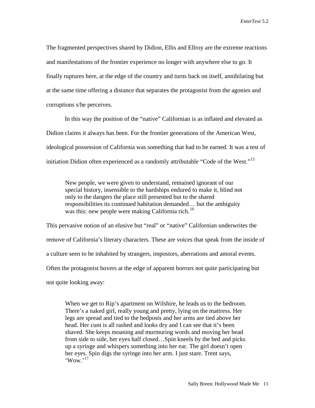The fragmented perspectives shared by Didion, Ellis and Ellroy are the extreme reactions and manifestations of the frontier experience no longer with anywhere else to go. It finally ruptures here, at the edge of the country and turns back on itself, annihilating but at the same time offering a distance that separates the protagonist from the agonies and corruptions s/he perceives.

In this way the position of the "native" Californian is as inflated and elevated as Didion claims it always has been. For the frontier generations of the American West, ideological possession of California was something that had to be earned. It was a test of initiation Didion often experienced as a randomly attributable "Code of the West."<sup>[15](#page-22-14)</sup>

New people, we were given to understand, remained ignorant of our special history, insensible to the hardships endured to make it, blind not only to the dangers the place still presented but to the shared responsibilities its continued habitation demanded… but the ambiguity was this: new people were making California rich.<sup>[16](#page-22-15)</sup>

This pervasive notion of an elusive but "real" or "native" Californian underwrites the remove of California's literary characters. These are voices that speak from the inside of a culture seen to be inhabited by strangers, impostors, aberrations and amoral events. Often the protagonist hovers at the edge of apparent horrors not quite participating but not quite looking away:

When we get to Rip's apartment on Wilshire, he leads us to the bedroom. There's a naked girl, really young and pretty, lying on the mattress. Her legs are spread and tied to the bedposts and her arms are tied above her head. Her cunt is all rashed and looks dry and I can see that it's been shaved. She keeps moaning and murmuring words and moving her head from side to side, her eyes half closed…Spin kneels by the bed and picks up a syringe and whispers something into her ear. The girl doesn't open her eyes. Spin digs the syringe into her arm. I just stare. Trent says,  $\cdot$ Wow.<sup>[17](#page-22-16)</sup>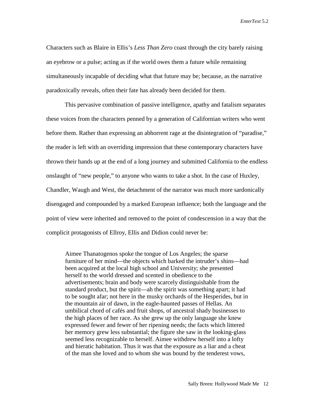Characters such as Blaire in Ellis's *Less Than Zero* coast through the city barely raising an eyebrow or a pulse; acting as if the world owes them a future while remaining simultaneously incapable of deciding what that future may be; because, as the narrative paradoxically reveals, often their fate has already been decided for them.

This pervasive combination of passive intelligence, apathy and fatalism separates these voices from the characters penned by a generation of Californian writers who went before them. Rather than expressing an abhorrent rage at the disintegration of "paradise," the reader is left with an overriding impression that these contemporary characters have thrown their hands up at the end of a long journey and submitted California to the endless onslaught of "new people," to anyone who wants to take a shot. In the case of Huxley, Chandler, Waugh and West, the detachment of the narrator was much more sardonically disengaged and compounded by a marked European influence; both the language and the point of view were inherited and removed to the point of condescension in a way that the complicit protagonists of Ellroy, Ellis and Didion could never be:

Aimee Thanatogenos spoke the tongue of Los Angeles; the sparse furniture of her mind—the objects which barked the intruder's shins—had been acquired at the local high school and University; she presented herself to the world dressed and scented in obedience to the advertisements; brain and body were scarcely distinguishable from the standard product, but the spirit—ah the spirit was something apart; it had to be sought afar; not here in the musky orchards of the Hesperides, but in the mountain air of dawn, in the eagle-haunted passes of Hellas. An umbilical chord of cafés and fruit shops, of ancestral shady businesses to the high places of her race. As she grew up the only language she knew expressed fewer and fewer of her ripening needs; the facts which littered her memory grew less substantial; the figure she saw in the looking-glass seemed less recognizable to herself. Aimee withdrew herself into a lofty and hieratic habitation. Thus it was that the exposure as a liar and a cheat of the man she loved and to whom she was bound by the tenderest vows,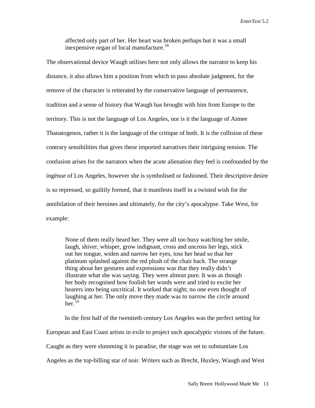affected only part of her. Her heart was broken perhaps but it was a small inexpensive organ of local manufacture.<sup>[18](#page-22-17)</sup>

The observational device Waugh utilises here not only allows the narrator to keep his distance, it also allows him a position from which to pass absolute judgment, for the remove of the character is reiterated by the conservative language of permanence, tradition and a sense of history that Waugh has brought with him from Europe to the territory. This is not the language of Los Angeles, nor is it the language of Aimee Thanatogenos, rather it is the language of the critique of both. It is the collision of these contrary sensibilities that gives these imported narratives their intriguing tension. The confusion arises for the narrators when the acute alienation they feel is confounded by the ingénue of Los Angeles, however she is symbolised or fashioned. Their descriptive desire is so repressed, so guiltily formed, that it manifests itself in a twisted wish for the annihilation of their heroines and ultimately, for the city's apocalypse. Take West, for example:

None of them really heard her. They were all too busy watching her smile, laugh, shiver, whisper, grow indignant, cross and uncross her legs, stick out her tongue, widen and narrow her eyes, toss her head so that her platinum splashed against the red plush of the chair back. The strange thing about her gestures and expressions was that they really didn't illustrate what she was saying. They were almost pure. It was as though her body recognised how foolish her words were and tried to excite her hearers into being uncritical. It worked that night; no one even thought of laughing at her. The only move they made was to narrow the circle around her. $19$ 

In the first half of the twentieth century Los Angeles was the perfect setting for European and East Coast artists in exile to project such apocalyptic visions of the future. Caught as they were slumming it in paradise, the stage was set to substantiate Los Angeles as the top-billing star of noir. Writers such as Brecht, Huxley, Waugh and West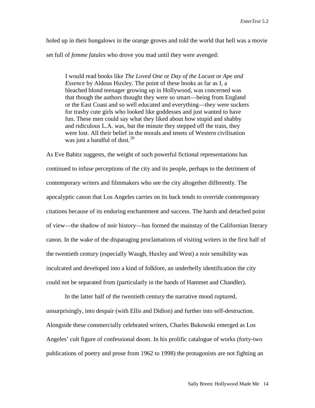holed up in their bungalows in the orange groves and told the world that hell was a movie set full of *femme fatales* who drove you mad until they were avenged:

I would read books like *The Loved One* or *Day of the Locust* or *Ape and Essence* by Aldous Huxley. The point of these books as far as I, a bleached blond teenager growing up in Hollywood, was concerned was that though the authors thought they were so smart—being from England or the East Coast and so well educated and everything—they were suckers for trashy cute girls who looked like goddesses and just wanted to have fun. These men could say what they liked about how stupid and shabby and ridiculous L.A. was, but the minute they stepped off the train, they were lost. All their belief in the morals and tenets of Western civilisation was just a handful of dust. $^{20}$  $^{20}$  $^{20}$ 

As Eve Babitz suggests, the weight of such powerful fictional representations has continued to infuse perceptions of the city and its people, perhaps to the detriment of contemporary writers and filmmakers who see the city altogether differently. The apocalyptic canon that Los Angeles carries on its back tends to override contemporary citations because of its enduring enchantment and success. The harsh and detached point of view—the shadow of noir history—has formed the mainstay of the Californian literary canon. In the wake of the disparaging proclamations of visiting writers in the first half of the twentieth century (especially Waugh, Huxley and West) a noir sensibility was inculcated and developed into a kind of folklore, an underbelly identification the city could not be separated from (particularly in the hands of Hammet and Chandler).

In the latter half of the twentieth century the narrative mood ruptured, unsurprisingly, into despair (with Ellis and Didion) and further into self-destruction. Alongside these commercially celebrated writers, Charles Bukowski emerged as Los Angeles' cult figure of confessional doom. In his prolific catalogue of works (forty-two publications of poetry and prose from 1962 to 1998) the protagonists are not fighting an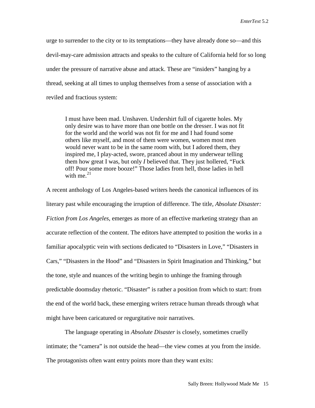urge to surrender to the city or to its temptations—they have already done so—and this devil-may-care admission attracts and speaks to the culture of California held for so long under the pressure of narrative abuse and attack. These are "insiders" hanging by a thread, seeking at all times to unplug themselves from a sense of association with a reviled and fractious system:

I must have been mad. Unshaven. Undershirt full of cigarette holes. My only desire was to have more than one bottle on the dresser. I was not fit for the world and the world was not fit for me and I had found some others like myself, and most of them were women, women most men would never want to be in the same room with, but I adored them, they inspired me, I play-acted, swore, pranced about in my underwear telling them how great I was, but only *I* believed that. They just hollered, "Fuck off! Pour some more booze!" Those ladies from hell, those ladies in hell with me. $^{21}$  $^{21}$  $^{21}$ 

A recent anthology of Los Angeles-based writers heeds the canonical influences of its literary past while encouraging the irruption of difference. The title, *Absolute Disaster: Fiction from Los Angeles*, emerges as more of an effective marketing strategy than an accurate reflection of the content. The editors have attempted to position the works in a familiar apocalyptic vein with sections dedicated to "Disasters in Love," "Disasters in Cars," "Disasters in the Hood" and "Disasters in Spirit Imagination and Thinking," but the tone, style and nuances of the writing begin to unhinge the framing through predictable doomsday rhetoric. "Disaster" is rather a position from which to start: from the end of the world back, these emerging writers retrace human threads through what might have been caricatured or regurgitative noir narratives.

The language operating in *Absolute Disaster* is closely, sometimes cruelly intimate; the "camera" is not outside the head—the view comes at you from the inside. The protagonists often want entry points more than they want exits: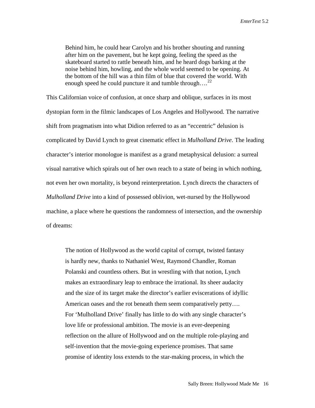Behind him, he could hear Carolyn and his brother shouting and running after him on the pavement, but he kept going, feeling the speed as the skateboard started to rattle beneath him, and he heard dogs barking at the noise behind him, howling, and the whole world seemed to be opening. At the bottom of the hill was a thin film of blue that covered the world. With enough speed he could puncture it and tumble through....<sup>[22](#page-22-21)</sup>

This Californian voice of confusion, at once sharp and oblique, surfaces in its most dystopian form in the filmic landscapes of Los Angeles and Hollywood. The narrative shift from pragmatism into what Didion referred to as an "eccentric" delusion is complicated by David Lynch to great cinematic effect in *Mulholland Drive*. The leading character's interior monologue is manifest as a grand metaphysical delusion: a surreal visual narrative which spirals out of her own reach to a state of being in which nothing, not even her own mortality, is beyond reinterpretation. Lynch directs the characters of *Mulholland Drive* into a kind of possessed oblivion, wet-nursed by the Hollywood machine, a place where he questions the randomness of intersection, and the ownership of dreams:

The notion of Hollywood as the world capital of corrupt, twisted fantasy is hardly new, thanks to Nathaniel West, Raymond Chandler, Roman Polanski and countless others. But in wrestling with that notion, Lynch makes an extraordinary leap to embrace the irrational. Its sheer audacity and the size of its target make the director's earlier eviscerations of idyllic American oases and the rot beneath them seem comparatively petty…. For 'Mulholland Drive' finally has little to do with any single character's love life or professional ambition. The movie is an ever-deepening reflection on the allure of Hollywood and on the multiple role-playing and self-invention that the movie-going experience promises. That same promise of identity loss extends to the star-making process, in which the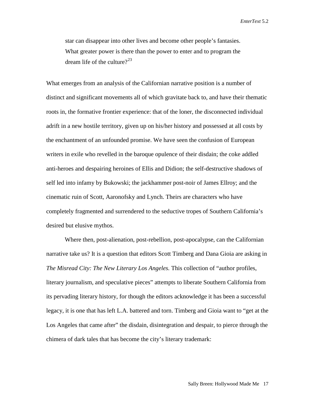star can disappear into other lives and become other people's fantasies. What greater power is there than the power to enter and to program the dream life of the culture?<sup>[23](#page-22-22)</sup>

What emerges from an analysis of the Californian narrative position is a number of distinct and significant movements all of which gravitate back to, and have their thematic roots in, the formative frontier experience: that of the loner, the disconnected individual adrift in a new hostile territory, given up on his/her history and possessed at all costs by the enchantment of an unfounded promise. We have seen the confusion of European writers in exile who revelled in the baroque opulence of their disdain; the coke addled anti-heroes and despairing heroines of Ellis and Didion; the self-destructive shadows of self led into infamy by Bukowski; the jackhammer post-noir of James Ellroy; and the cinematic ruin of Scott, Aaronofsky and Lynch. Theirs are characters who have completely fragmented and surrendered to the seductive tropes of Southern California's desired but elusive mythos.

Where then, post-alienation, post-rebellion, post-apocalypse, can the Californian narrative take us? It is a question that editors Scott Timberg and Dana Gioia are asking in *The Misread City: The New Literary Los Angeles.* This collection of "author profiles, literary journalism, and speculative pieces" attempts to liberate Southern California from its pervading literary history, for though the editors acknowledge it has been a successful legacy, it is one that has left L.A. battered and torn. Timberg and Gioia want to "get at the Los Angeles that came after" the disdain, disintegration and despair, to pierce through the chimera of dark tales that has become the city's literary trademark: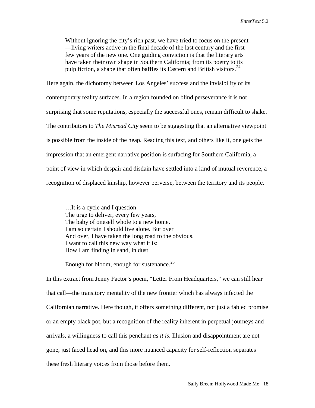Without ignoring the city's rich past, we have tried to focus on the present —living writers active in the final decade of the last century and the first few years of the new one. One guiding conviction is that the literary arts have taken their own shape in Southern California; from its poetry to its pulp fiction, a shape that often baffles its Eastern and British visitors.<sup>[24](#page-22-23)</sup>

Here again, the dichotomy between Los Angeles' success and the invisibility of its contemporary reality surfaces. In a region founded on blind perseverance it is not surprising that some reputations, especially the successful ones, remain difficult to shake. The contributors to *The Misread City* seem to be suggesting that an alternative viewpoint is possible from the inside of the heap. Reading this text, and others like it, one gets the impression that an emergent narrative position is surfacing for Southern California, a point of view in which despair and disdain have settled into a kind of mutual reverence, a recognition of displaced kinship, however perverse, between the territory and its people.

…It is a cycle and I question The urge to deliver, every few years, The baby of oneself whole to a new home. I am so certain I should live alone. But over And over, I have taken the long road to the obvious. I want to call this new way what it is: How I am finding in sand, in dust

Enough for bloom, enough for sustenance.<sup>25</sup>

In this extract from Jenny Factor's poem, "Letter From Headquarters," we can still hear that call—the transitory mentality of the new frontier which has always infected the Californian narrative. Here though, it offers something different, not just a fabled promise or an empty black pot, but a recognition of the reality inherent in perpetual journeys and arrivals, a willingness to call this penchant *as it is*. Illusion and disappointment are not gone, just faced head on, and this more nuanced capacity for self-reflection separates these fresh literary voices from those before them.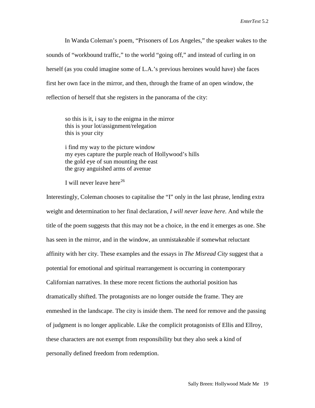In Wanda Coleman's poem, "Prisoners of Los Angeles," the speaker wakes to the sounds of "workbound traffic," to the world "going off," and instead of curling in on herself (as you could imagine some of L.A.'s previous heroines would have) she faces first her own face in the mirror, and then, through the frame of an open window, the reflection of herself that she registers in the panorama of the city:

so this is it, i say to the enigma in the mirror this is your lot/assignment/relegation this is your city

i find my way to the picture window my eyes capture the purple reach of Hollywood's hills the gold eye of sun mounting the east the gray anguished arms of avenue

I will never leave here<sup>[26](#page-22-25)</sup>

Interestingly, Coleman chooses to capitalise the "I" only in the last phrase, lending extra weight and determination to her final declaration, *I will never leave here.* And while the title of the poem suggests that this may not be a choice, in the end it emerges as one. She has seen in the mirror, and in the window, an unmistakeable if somewhat reluctant affinity with her city. These examples and the essays in *The Misread City* suggest that a potential for emotional and spiritual rearrangement is occurring in contemporary Californian narratives. In these more recent fictions the authorial position has dramatically shifted. The protagonists are no longer outside the frame. They are enmeshed in the landscape. The city is inside them. The need for remove and the passing of judgment is no longer applicable. Like the complicit protagonists of Ellis and Ellroy, these characters are not exempt from responsibility but they also seek a kind of personally defined freedom from redemption.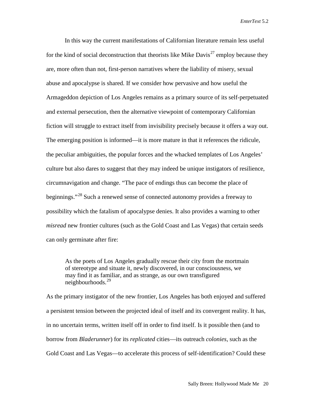In this way the current manifestations of Californian literature remain less useful for the kind of social deconstruction that theorists like Mike Davis<sup>[27](#page-22-26)</sup> employ because they are, more often than not, first-person narratives where the liability of misery, sexual abuse and apocalypse is shared. If we consider how pervasive and how useful the Armageddon depiction of Los Angeles remains as a primary source of its self-perpetuated and external persecution, then the alternative viewpoint of contemporary Californian fiction will struggle to extract itself from invisibility precisely because it offers a way out. The emerging position is informed—it is more mature in that it references the ridicule, the peculiar ambiguities, the popular forces and the whacked templates of Los Angeles' culture but also dares to suggest that they may indeed be unique instigators of resilience, circumnavigation and change. "The pace of endings thus can become the place of beginnings."<sup>[28](#page-22-27)</sup> Such a renewed sense of connected autonomy provides a freeway to possibility which the fatalism of apocalypse denies. It also provides a warning to other *misread* new frontier cultures (such as the Gold Coast and Las Vegas) that certain seeds can only germinate after fire:

As the poets of Los Angeles gradually rescue their city from the mortmain of stereotype and situate it, newly discovered, in our consciousness, we may find it as familiar, and as strange, as our own transfigured neighbourhoods.<sup>[29](#page-22-28)</sup>

As the primary instigator of the new frontier, Los Angeles has both enjoyed and suffered a persistent tension between the projected ideal of itself and its convergent reality. It has, in no uncertain terms, written itself off in order to find itself. Is it possible then (and to borrow from *Bladerunner*) for its *replicated* cities—its outreach *colonies,* such as the Gold Coast and Las Vegas—to accelerate this process of self-identification? Could these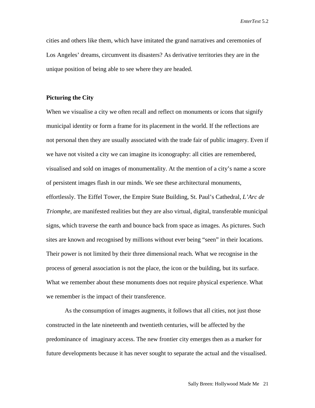cities and others like them, which have imitated the grand narratives and ceremonies of Los Angeles' dreams, circumvent its disasters? As derivative territories they are in the unique position of being able to see where they are headed.

### **Picturing the City**

When we visualise a city we often recall and reflect on monuments or icons that signify municipal identity or form a frame for its placement in the world. If the reflections are not personal then they are usually associated with the trade fair of public imagery. Even if we have not visited a city we can imagine its iconography: all cities are remembered, visualised and sold on images of monumentality. At the mention of a city's name a score of persistent images flash in our minds. We see these architectural monuments, effortlessly. The Eiffel Tower, the Empire State Building, St. Paul's Cathedral, *L'Arc de Triomphe*, are manifested realities but they are also virtual, digital, transferable municipal signs, which traverse the earth and bounce back from space as images. As pictures. Such sites are known and recognised by millions without ever being "seen" in their locations. Their power is not limited by their three dimensional reach. What we recognise in the process of general association is not the place, the icon or the building, but its surface. What we remember about these monuments does not require physical experience. What we remember is the impact of their transference.

As the consumption of images augments, it follows that all cities, not just those constructed in the late nineteenth and twentieth centuries, will be affected by the predominance of imaginary access. The new frontier city emerges then as a marker for future developments because it has never sought to separate the actual and the visualised.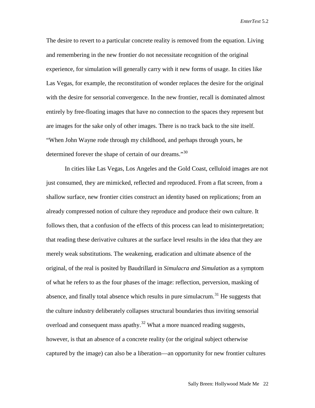The desire to revert to a particular concrete reality is removed from the equation. Living and remembering in the new frontier do not necessitate recognition of the original experience, for simulation will generally carry with it new forms of usage. In cities like Las Vegas, for example, the reconstitution of wonder replaces the desire for the original with the desire for sensorial convergence. In the new frontier, recall is dominated almost entirely by free-floating images that have no connection to the spaces they represent but are images for the sake only of other images. There is no track back to the site itself. "When John Wayne rode through my childhood, and perhaps through yours, he determined forever the shape of certain of our dreams."<sup>[30](#page-22-29)</sup>

In cities like Las Vegas, Los Angeles and the Gold Coast, celluloid images are not just consumed, they are mimicked, reflected and reproduced. From a flat screen, from a shallow surface, new frontier cities construct an identity based on replications; from an already compressed notion of culture they reproduce and produce their own culture. It follows then, that a confusion of the effects of this process can lead to misinterpretation; that reading these derivative cultures at the surface level results in the idea that they are merely weak substitutions. The weakening, eradication and ultimate absence of the original, of the real is posited by Baudrillard in *Simulacra and Simulation* as a symptom of what he refers to as the four phases of the image: reflection, perversion, masking of absence, and finally total absence which results in pure simulacrum.<sup>[31](#page-22-30)</sup> He suggests that the culture industry deliberately collapses structural boundaries thus inviting sensorial overload and consequent mass apathy.<sup>[32](#page-22-31)</sup> What a more nuanced reading suggests, however, is that an absence of a concrete reality (or the original subject otherwise captured by the image) can also be a liberation—an opportunity for new frontier cultures